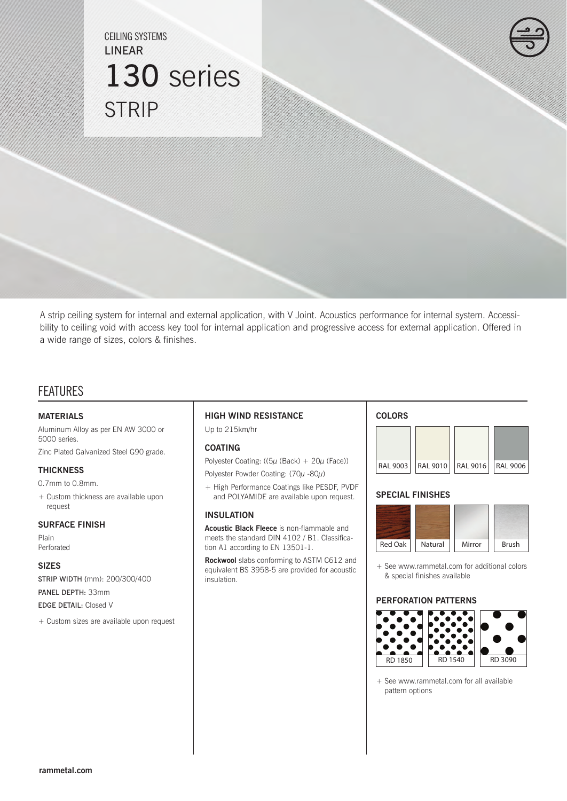# CEILING SYSTEMS **LINEAR** 130 series STRIP



A strip ceiling system for internal and external application, with V Joint. Acoustics performance for internal system. Accessibility to ceiling void with access key tool for internal application and progressive access for external application. Offered in a wide range of sizes, colors & finishes.

### FEATURES

#### **MATERIALS**

Aluminum Alloy as per EN AW 3000 or 5000 series.

Zinc Plated Galvanized Steel G90 grade.

#### **THICKNESS**

0.7mm to 0.8mm.

+ Custom thickness are available upon request

#### **SURFACE FINISH**

Plain Perforated

#### **SIZES**

STRIP WIDTH (mm): 200/300/400

PANEL DEPTH: 33mm EDGE DETAIL: Closed V

+ Custom sizes are available upon request

### **HIGH WIND RESISTANCE**

Up to 215km/hr

#### **COATING**

Polyester Coating: (( $5\mu$  (Back) + 20 $\mu$  (Face))

Polyester Powder Coating: (70µ -80µ)

+ High Performance Coatings like PESDF, PVDF and POLYAMIDE are available upon request.

#### **INSULATION**

**Acoustic Black Fleece** is non-flammable and meets the standard DIN 4102 / B1. Classification A1 according to EN 13501-1.

**Rockwool** slabs conforming to ASTM C612 and equivalent BS 3958-5 are provided for acoustic insulation.

#### **COLORS**



#### **SPECIAL FINISHES**



+ See www.rammetal.com for additional colors & special finishes available

### **PERFORATION PATTERNS**



+ See www.rammetal.com for all available pattern options